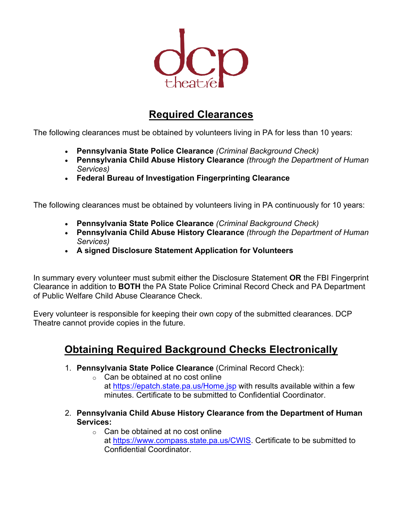

## **Required Clearances**

The following clearances must be obtained by volunteers living in PA for less than 10 years:

- **Pennsylvania State Police Clearance** *(Criminal Background Check)*
- **Pennsylvania Child Abuse History Clearance** *(through the Department of Human Services)*
- **Federal Bureau of Investigation Fingerprinting Clearance**

The following clearances must be obtained by volunteers living in PA continuously for 10 years:

- **Pennsylvania State Police Clearance** *(Criminal Background Check)*
- **Pennsylvania Child Abuse History Clearance** *(through the Department of Human Services)*
- **A signed Disclosure Statement Application for Volunteers**

In summary every volunteer must submit either the Disclosure Statement **OR** the FBI Fingerprint Clearance in addition to **BOTH** the PA State Police Criminal Record Check and PA Department of Public Welfare Child Abuse Clearance Check.

Every volunteer is responsible for keeping their own copy of the submitted clearances. DCP Theatre cannot provide copies in the future.

## **Obtaining Required Background Checks Electronically**

- 1. **Pennsylvania State Police Clearance** (Criminal Record Check):
	- $\circ$  Can be obtained at no cost online at https://epatch.state.pa.us/Home.jsp with results available within a few minutes. Certificate to be submitted to Confidential Coordinator.
- 2. **Pennsylvania Child Abuse History Clearance from the Department of Human Services:**
	- $\circ$  Can be obtained at no cost online at https://www.compass.state.pa.us/CWIS. Certificate to be submitted to Confidential Coordinator.